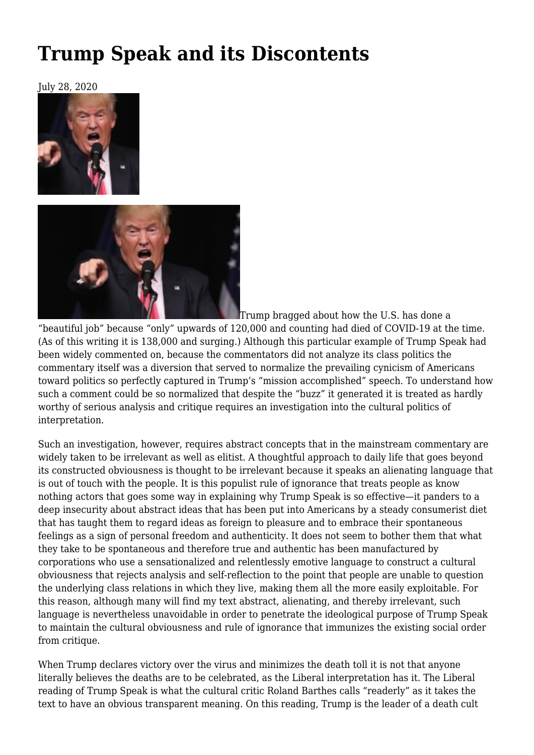## **[Trump Speak and its Discontents](https://newpol.org/trump-speak-and-its-discontents/)**

July 28, 2020





Trump bragged about how the U.S. has done a

"beautiful job" because "only" upwards of 120,000 and counting had died of COVID-19 at the time. (As of this writing it is 138,000 and surging.) Although this particular example of Trump Speak had been widely commented on, because the commentators did not analyze its class politics the commentary itself was a diversion that served to normalize the prevailing cynicism of Americans toward politics so perfectly captured in Trump's "mission accomplished" speech. To understand how such a comment could be so normalized that despite the "buzz" it generated it is treated as hardly worthy of serious analysis and critique requires an investigation into the cultural politics of interpretation.

Such an investigation, however, requires abstract concepts that in the mainstream commentary are widely taken to be irrelevant as well as elitist. A thoughtful approach to daily life that goes beyond its constructed obviousness is thought to be irrelevant because it speaks an alienating language that is out of touch with the people. It is this populist rule of ignorance that treats people as know nothing actors that goes some way in explaining why Trump Speak is so effective—it panders to a deep insecurity about abstract ideas that has been put into Americans by a steady consumerist diet that has taught them to regard ideas as foreign to pleasure and to embrace their spontaneous feelings as a sign of personal freedom and authenticity. It does not seem to bother them that what they take to be spontaneous and therefore true and authentic has been manufactured by corporations who use a sensationalized and relentlessly emotive language to construct a cultural obviousness that rejects analysis and self-reflection to the point that people are unable to question the underlying class relations in which they live, making them all the more easily exploitable. For this reason, although many will find my text abstract, alienating, and thereby irrelevant, such language is nevertheless unavoidable in order to penetrate the ideological purpose of Trump Speak to maintain the cultural obviousness and rule of ignorance that immunizes the existing social order from critique.

When Trump declares victory over the virus and minimizes the death toll it is not that anyone literally believes the deaths are to be celebrated, as the Liberal interpretation has it. The Liberal reading of Trump Speak is what the cultural critic Roland Barthes calls "readerly" as it takes the text to have an obvious transparent meaning. On this reading, Trump is the leader of a death cult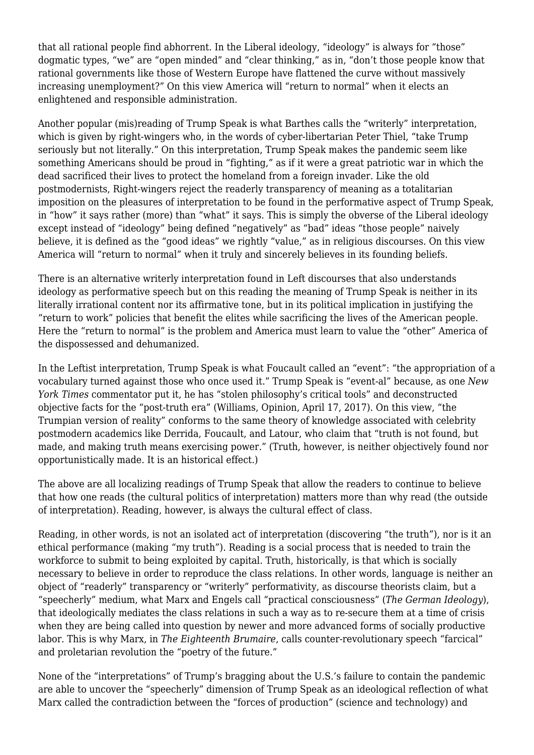that all rational people find abhorrent. In the Liberal ideology, "ideology" is always for "those" dogmatic types, "we" are "open minded" and "clear thinking," as in, "don't those people know that rational governments like those of Western Europe have flattened the curve without massively increasing unemployment?" On this view America will "return to normal" when it elects an enlightened and responsible administration.

Another popular (mis)reading of Trump Speak is what Barthes calls the "writerly" interpretation, which is given by right-wingers who, in the words of cyber-libertarian Peter Thiel, "take Trump seriously but not literally." On this interpretation, Trump Speak makes the pandemic seem like something Americans should be proud in "fighting," as if it were a great patriotic war in which the dead sacrificed their lives to protect the homeland from a foreign invader. Like the old postmodernists, Right-wingers reject the readerly transparency of meaning as a totalitarian imposition on the pleasures of interpretation to be found in the performative aspect of Trump Speak, in "how" it says rather (more) than "what" it says. This is simply the obverse of the Liberal ideology except instead of "ideology" being defined "negatively" as "bad" ideas "those people" naively believe, it is defined as the "good ideas" we rightly "value," as in religious discourses. On this view America will "return to normal" when it truly and sincerely believes in its founding beliefs.

There is an alternative writerly interpretation found in Left discourses that also understands ideology as performative speech but on this reading the meaning of Trump Speak is neither in its literally irrational content nor its affirmative tone, but in its political implication in justifying the "return to work" policies that benefit the elites while sacrificing the lives of the American people. Here the "return to normal" is the problem and America must learn to value the "other" America of the dispossessed and dehumanized.

In the Leftist interpretation, Trump Speak is what Foucault called an "event": "the appropriation of a vocabulary turned against those who once used it." Trump Speak is "event-al" because, as one *New York Times* commentator put it, he has "stolen philosophy's critical tools" and deconstructed objective facts for the "post-truth era" (Williams, Opinion, April 17, 2017). On this view, "the Trumpian version of reality" conforms to the same theory of knowledge associated with celebrity postmodern academics like Derrida, Foucault, and Latour, who claim that "truth is not found, but made, and making truth means exercising power." (Truth, however, is neither objectively found nor opportunistically made. It is an historical effect.)

The above are all localizing readings of Trump Speak that allow the readers to continue to believe that how one reads (the cultural politics of interpretation) matters more than why read (the outside of interpretation). Reading, however, is always the cultural effect of class.

Reading, in other words, is not an isolated act of interpretation (discovering "the truth"), nor is it an ethical performance (making "my truth"). Reading is a social process that is needed to train the workforce to submit to being exploited by capital. Truth, historically, is that which is socially necessary to believe in order to reproduce the class relations. In other words, language is neither an object of "readerly" transparency or "writerly" performativity, as discourse theorists claim, but a "speecherly" medium, what Marx and Engels call "practical consciousness" (*The German Ideology*), that ideologically mediates the class relations in such a way as to re-secure them at a time of crisis when they are being called into question by newer and more advanced forms of socially productive labor. This is why Marx, in *The Eighteenth Brumaire*, calls counter-revolutionary speech "farcical" and proletarian revolution the "poetry of the future."

None of the "interpretations" of Trump's bragging about the U.S.'s failure to contain the pandemic are able to uncover the "speecherly" dimension of Trump Speak as an ideological reflection of what Marx called the contradiction between the "forces of production" (science and technology) and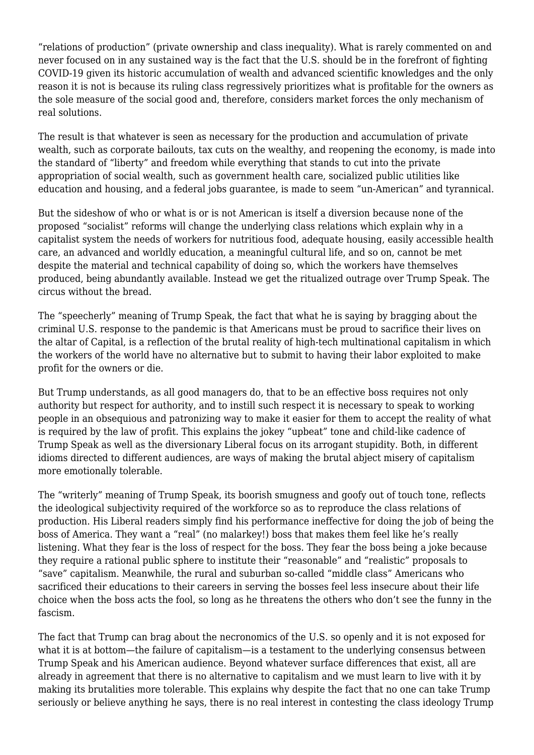"relations of production" (private ownership and class inequality). What is rarely commented on and never focused on in any sustained way is the fact that the U.S. should be in the forefront of fighting COVID-19 given its historic accumulation of wealth and advanced scientific knowledges and the only reason it is not is because its ruling class regressively prioritizes what is profitable for the owners as the sole measure of the social good and, therefore, considers market forces the only mechanism of real solutions.

The result is that whatever is seen as necessary for the production and accumulation of private wealth, such as corporate bailouts, tax cuts on the wealthy, and reopening the economy, is made into the standard of "liberty" and freedom while everything that stands to cut into the private appropriation of social wealth, such as government health care, socialized public utilities like education and housing, and a federal jobs guarantee, is made to seem "un-American" and tyrannical.

But the sideshow of who or what is or is not American is itself a diversion because none of the proposed "socialist" reforms will change the underlying class relations which explain why in a capitalist system the needs of workers for nutritious food, adequate housing, easily accessible health care, an advanced and worldly education, a meaningful cultural life, and so on, cannot be met despite the material and technical capability of doing so, which the workers have themselves produced, being abundantly available. Instead we get the ritualized outrage over Trump Speak. The circus without the bread.

The "speecherly" meaning of Trump Speak, the fact that what he is saying by bragging about the criminal U.S. response to the pandemic is that Americans must be proud to sacrifice their lives on the altar of Capital, is a reflection of the brutal reality of high-tech multinational capitalism in which the workers of the world have no alternative but to submit to having their labor exploited to make profit for the owners or die.

But Trump understands, as all good managers do, that to be an effective boss requires not only authority but respect for authority, and to instill such respect it is necessary to speak to working people in an obsequious and patronizing way to make it easier for them to accept the reality of what is required by the law of profit. This explains the jokey "upbeat" tone and child-like cadence of Trump Speak as well as the diversionary Liberal focus on its arrogant stupidity. Both, in different idioms directed to different audiences, are ways of making the brutal abject misery of capitalism more emotionally tolerable.

The "writerly" meaning of Trump Speak, its boorish smugness and goofy out of touch tone, reflects the ideological subjectivity required of the workforce so as to reproduce the class relations of production. His Liberal readers simply find his performance ineffective for doing the job of being the boss of America. They want a "real" (no malarkey!) boss that makes them feel like he's really listening. What they fear is the loss of respect for the boss. They fear the boss being a joke because they require a rational public sphere to institute their "reasonable" and "realistic" proposals to "save" capitalism. Meanwhile, the rural and suburban so-called "middle class" Americans who sacrificed their educations to their careers in serving the bosses feel less insecure about their life choice when the boss acts the fool, so long as he threatens the others who don't see the funny in the fascism.

The fact that Trump can brag about the necronomics of the U.S. so openly and it is not exposed for what it is at bottom—the failure of capitalism—is a testament to the underlying consensus between Trump Speak and his American audience. Beyond whatever surface differences that exist, all are already in agreement that there is no alternative to capitalism and we must learn to live with it by making its brutalities more tolerable. This explains why despite the fact that no one can take Trump seriously or believe anything he says, there is no real interest in contesting the class ideology Trump